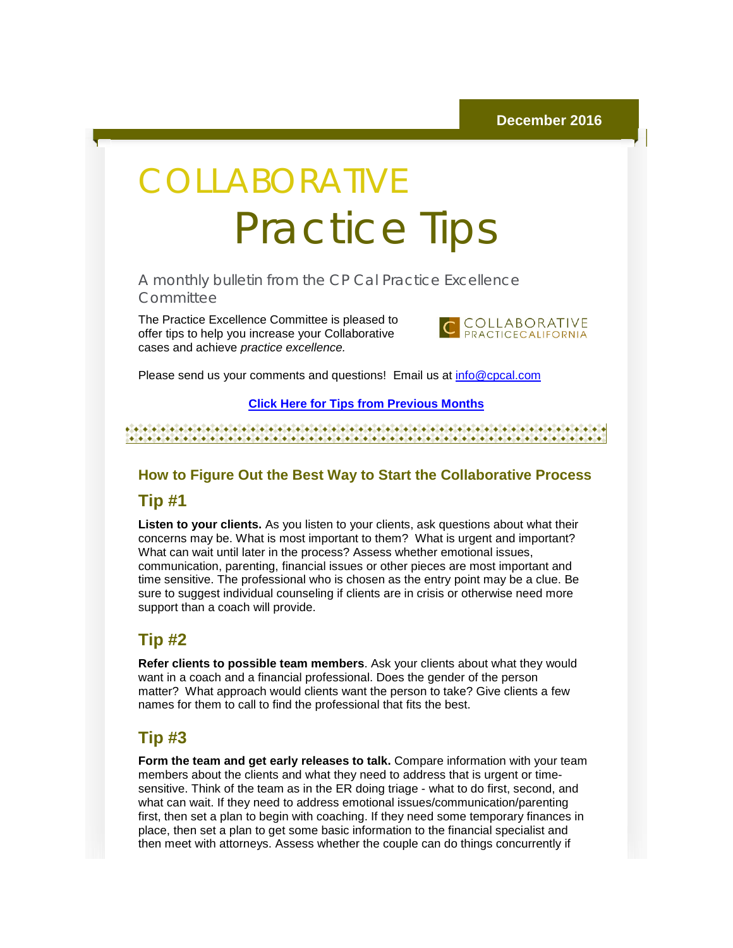# **COLLABORATIVE** Practice Tips

A monthly bulletin from the CP Cal Practice Excellence **Committee** 

The Practice Excellence Committee is pleased to offer tips to help you increase your Collaborative cases and achieve *practice excellence.*



Please send us your comments and questions! Email us at [info@cpcal.com](mailto:info@cpcal.com)

#### **[Click Here for Tips from Previous Months](http://r20.rs6.net/tn.jsp?f=001p7ouWdQF3123YLdHYIGej07Gxx6OTAT82eb-R485Qr0ZcBpPptJyIuf36Rah6c_T1rb1Ns_leTrAxVx4evevvpuS1_lJ55orX7wWXdvUU_xmQJx-MuXT2_wzHSClNbKjwKetCJqb0NsJsJIdFd4zK3fwj_kzT6rrQIbKFz22ZnopkHIiD6W5Vnxp8mvLg6Slm2my36AmiO3v5jiRbredFlL1pRuxKjSDvco5xtx1QTEtA14AUEp3JA==&c=07OIrzBGgd1Ow-So1GMgIP3-FLoL--OpGNJTtWxz1b7nFAYAn8DEcg==&ch=1KdksKpgxdu6EeedMnZ8AXlcwesqyb_i0unQOe7aglG531ryuXQ7tA==)**

#### 

#### **How to Figure Out the Best Way to Start the Collaborative Process**

#### **Tip #1**

**Listen to your clients.** As you listen to your clients, ask questions about what their concerns may be. What is most important to them? What is urgent and important? What can wait until later in the process? Assess whether emotional issues, communication, parenting, financial issues or other pieces are most important and time sensitive. The professional who is chosen as the entry point may be a clue. Be sure to suggest individual counseling if clients are in crisis or otherwise need more support than a coach will provide.

## **Tip #2**

**Refer clients to possible team members**. Ask your clients about what they would want in a coach and a financial professional. Does the gender of the person matter? What approach would clients want the person to take? Give clients a few names for them to call to find the professional that fits the best.

#### **Tip #3**

**Form the team and get early releases to talk.** Compare information with your team members about the clients and what they need to address that is urgent or timesensitive. Think of the team as in the ER doing triage - what to do first, second, and what can wait. If they need to address emotional issues/communication/parenting first, then set a plan to begin with coaching. If they need some temporary finances in place, then set a plan to get some basic information to the financial specialist and then meet with attorneys. Assess whether the couple can do things concurrently if